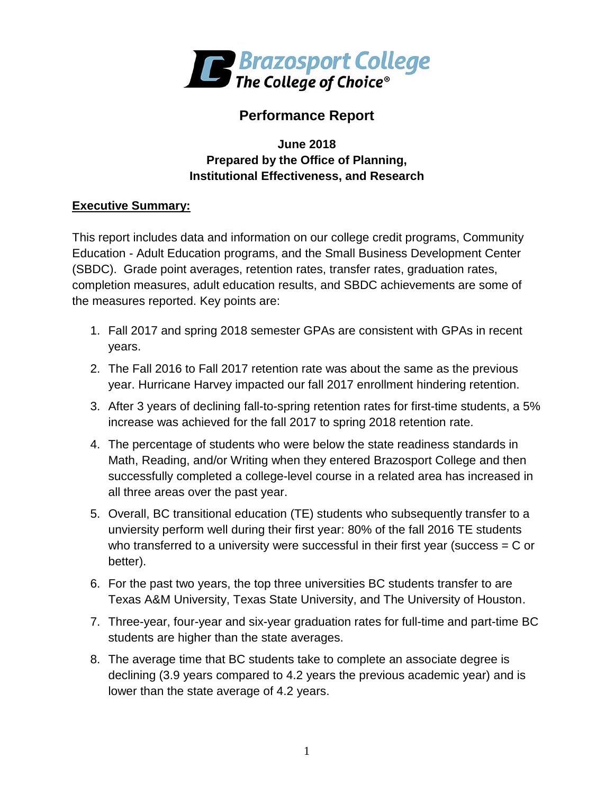

# **Performance Report**

### **June 2018 Prepared by the Office of Planning, Institutional Effectiveness, and Research**

### **Executive Summary:**

This report includes data and information on our college credit programs, Community Education - Adult Education programs, and the Small Business Development Center (SBDC). Grade point averages, retention rates, transfer rates, graduation rates, completion measures, adult education results, and SBDC achievements are some of the measures reported. Key points are:

- 1. Fall 2017 and spring 2018 semester GPAs are consistent with GPAs in recent years.
- 2. The Fall 2016 to Fall 2017 retention rate was about the same as the previous year. Hurricane Harvey impacted our fall 2017 enrollment hindering retention.
- 3. After 3 years of declining fall-to-spring retention rates for first-time students, a 5% increase was achieved for the fall 2017 to spring 2018 retention rate.
- 4. The percentage of students who were below the state readiness standards in Math, Reading, and/or Writing when they entered Brazosport College and then successfully completed a college-level course in a related area has increased in all three areas over the past year.
- 5. Overall, BC transitional education (TE) students who subsequently transfer to a unviersity perform well during their first year: 80% of the fall 2016 TE students who transferred to a university were successful in their first year (success  $= C$  or better).
- 6. For the past two years, the top three universities BC students transfer to are Texas A&M University, Texas State University, and The University of Houston.
- 7. Three-year, four-year and six-year graduation rates for full-time and part-time BC students are higher than the state averages.
- 8. The average time that BC students take to complete an associate degree is declining (3.9 years compared to 4.2 years the previous academic year) and is lower than the state average of 4.2 years.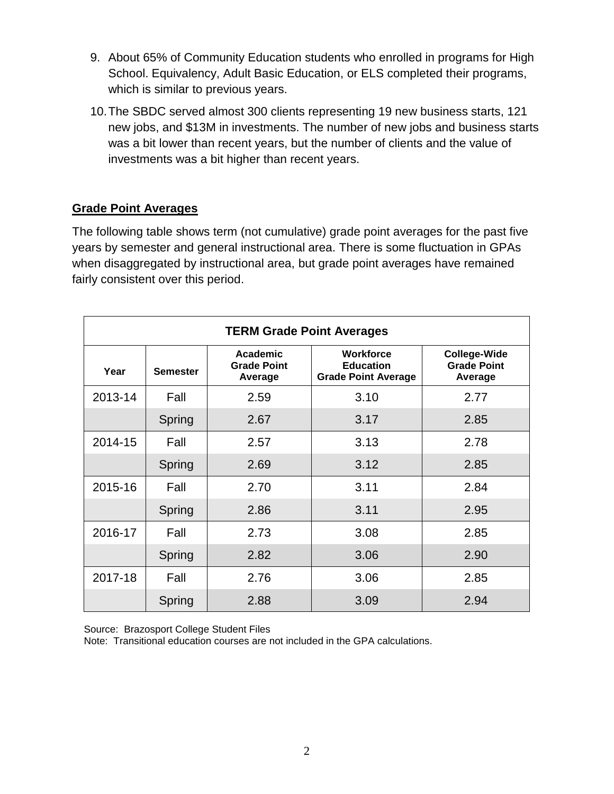- 9. About 65% of Community Education students who enrolled in programs for High School. Equivalency, Adult Basic Education, or ELS completed their programs, which is similar to previous years.
- 10.The SBDC served almost 300 clients representing 19 new business starts, 121 new jobs, and \$13M in investments. The number of new jobs and business starts was a bit lower than recent years, but the number of clients and the value of investments was a bit higher than recent years.

# **Grade Point Averages**

The following table shows term (not cumulative) grade point averages for the past five years by semester and general instructional area. There is some fluctuation in GPAs when disaggregated by instructional area, but grade point averages have remained fairly consistent over this period.

| <b>TERM Grade Point Averages</b> |                 |                                           |                                                                    |                                                      |  |
|----------------------------------|-----------------|-------------------------------------------|--------------------------------------------------------------------|------------------------------------------------------|--|
| Year                             | <b>Semester</b> | Academic<br><b>Grade Point</b><br>Average | <b>Workforce</b><br><b>Education</b><br><b>Grade Point Average</b> | <b>College-Wide</b><br><b>Grade Point</b><br>Average |  |
| 2013-14                          | Fall            | 2.59                                      | 3.10                                                               | 2.77                                                 |  |
|                                  | Spring          | 2.67                                      | 3.17                                                               | 2.85                                                 |  |
| 2014-15                          | Fall            | 2.57                                      | 3.13                                                               | 2.78                                                 |  |
|                                  | Spring          | 2.69                                      | 3.12                                                               | 2.85                                                 |  |
| 2015-16                          | Fall            | 2.70                                      | 3.11                                                               | 2.84                                                 |  |
|                                  | Spring          | 2.86                                      | 3.11                                                               | 2.95                                                 |  |
| 2016-17                          | Fall            | 2.73                                      | 3.08                                                               | 2.85                                                 |  |
|                                  | Spring          | 2.82                                      | 3.06                                                               | 2.90                                                 |  |
| 2017-18                          | Fall            | 2.76                                      | 3.06                                                               | 2.85                                                 |  |
|                                  | Spring          | 2.88                                      | 3.09                                                               | 2.94                                                 |  |

Source: Brazosport College Student Files

Note: Transitional education courses are not included in the GPA calculations.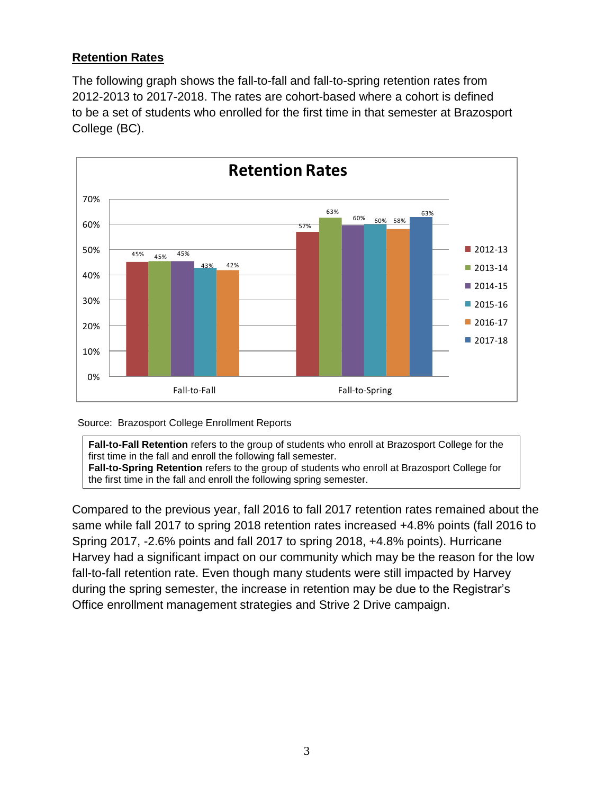### **Retention Rates**

The following graph shows the fall-to-fall and fall-to-spring retention rates from 2012-2013 to 2017-2018. The rates are cohort-based where a cohort is defined to be a set of students who enrolled for the first time in that semester at Brazosport College (BC).



Source: Brazosport College Enrollment Reports

**Fall-to-Fall Retention** refers to the group of students who enroll at Brazosport College for the first time in the fall and enroll the following fall semester. **Fall-to-Spring Retention** refers to the group of students who enroll at Brazosport College for the first time in the fall and enroll the following spring semester.

Compared to the previous year, fall 2016 to fall 2017 retention rates remained about the same while fall 2017 to spring 2018 retention rates increased +4.8% points (fall 2016 to Spring 2017, -2.6% points and fall 2017 to spring 2018, +4.8% points). Hurricane Harvey had a significant impact on our community which may be the reason for the low fall-to-fall retention rate. Even though many students were still impacted by Harvey during the spring semester, the increase in retention may be due to the Registrar's Office enrollment management strategies and Strive 2 Drive campaign.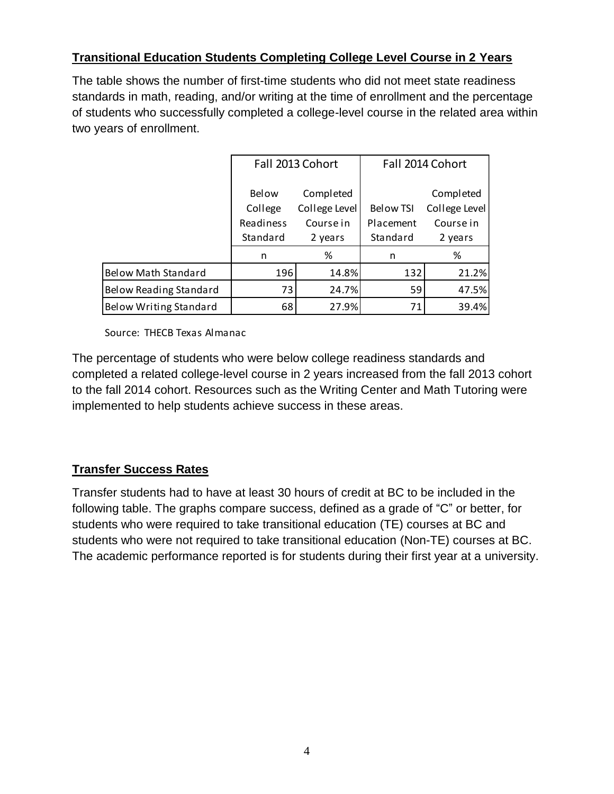# **Transitional Education Students Completing College Level Course in 2 Years**

The table shows the number of first-time students who did not meet state readiness standards in math, reading, and/or writing at the time of enrollment and the percentage of students who successfully completed a college-level course in the related area within two years of enrollment.

|                               | Fall 2013 Cohort                     |                                         | Fall 2014 Cohort              |                                         |
|-------------------------------|--------------------------------------|-----------------------------------------|-------------------------------|-----------------------------------------|
|                               | <b>Below</b><br>College<br>Readiness | Completed<br>College Level<br>Course in | <b>Below TSI</b><br>Placement | Completed<br>College Level<br>Course in |
|                               | Standard                             | 2 years                                 | Standard                      | 2 years                                 |
|                               | n                                    | %                                       | n                             | %                                       |
| <b>Below Math Standard</b>    | 196                                  | 14.8%                                   | 132                           | 21.2%                                   |
| Below Reading Standard        | 73                                   | 24.7%                                   | 59                            | 47.5%                                   |
| <b>Below Writing Standard</b> | 68                                   | 27.9%                                   | 71                            | 39.4%                                   |

Source: THECB Texas Almanac

The percentage of students who were below college readiness standards and completed a related college-level course in 2 years increased from the fall 2013 cohort to the fall 2014 cohort. Resources such as the Writing Center and Math Tutoring were implemented to help students achieve success in these areas.

# **Transfer Success Rates**

Transfer students had to have at least 30 hours of credit at BC to be included in the following table. The graphs compare success, defined as a grade of "C" or better, for students who were required to take transitional education (TE) courses at BC and students who were not required to take transitional education (Non-TE) courses at BC. The academic performance reported is for students during their first year at a university.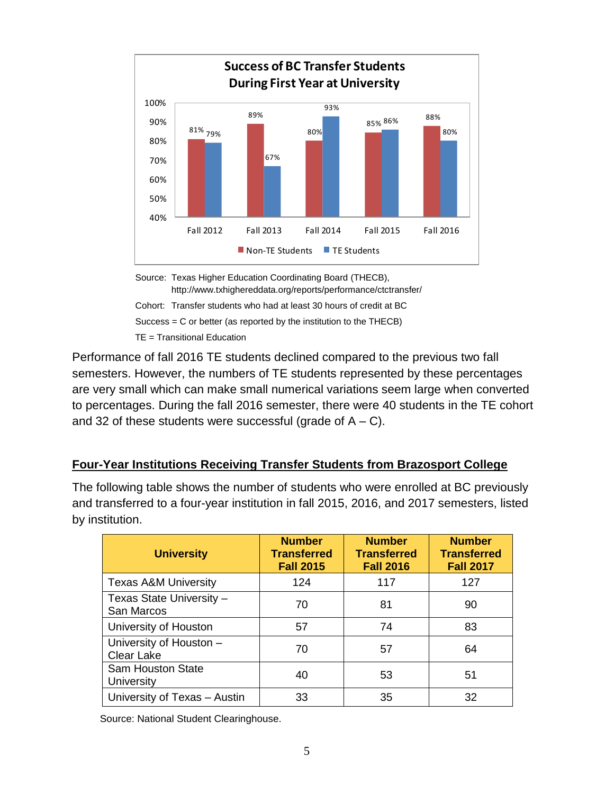

Source: Texas Higher Education Coordinating Board (THECB), http://www.txhighereddata.org/reports/performance/ctctransfer/ Cohort: Transfer students who had at least 30 hours of credit at BC Success = C or better (as reported by the institution to the THECB) TE = Transitional Education

Performance of fall 2016 TE students declined compared to the previous two fall semesters. However, the numbers of TE students represented by these percentages are very small which can make small numerical variations seem large when converted to percentages. During the fall 2016 semester, there were 40 students in the TE cohort and 32 of these students were successful (grade of  $A - C$ ).

#### **Four-Year Institutions Receiving Transfer Students from Brazosport College**

The following table shows the number of students who were enrolled at BC previously and transferred to a four-year institution in fall 2015, 2016, and 2017 semesters, listed by institution.

| <b>University</b>                             | <b>Number</b><br><b>Transferred</b><br><b>Fall 2015</b> | <b>Number</b><br><b>Transferred</b><br><b>Fall 2016</b> | <b>Number</b><br><b>Transferred</b><br><b>Fall 2017</b> |
|-----------------------------------------------|---------------------------------------------------------|---------------------------------------------------------|---------------------------------------------------------|
| <b>Texas A&amp;M University</b>               | 124                                                     | 117                                                     | 127                                                     |
| Texas State University -<br>San Marcos        | 70                                                      | 81                                                      | 90                                                      |
| University of Houston                         | 57                                                      | 74                                                      | 83                                                      |
| University of Houston -<br><b>Clear Lake</b>  | 70                                                      | 57                                                      | 64                                                      |
| <b>Sam Houston State</b><br><b>University</b> | 40                                                      | 53                                                      | 51                                                      |
| University of Texas - Austin                  | 33                                                      | 35                                                      | 32                                                      |

Source: National Student Clearinghouse.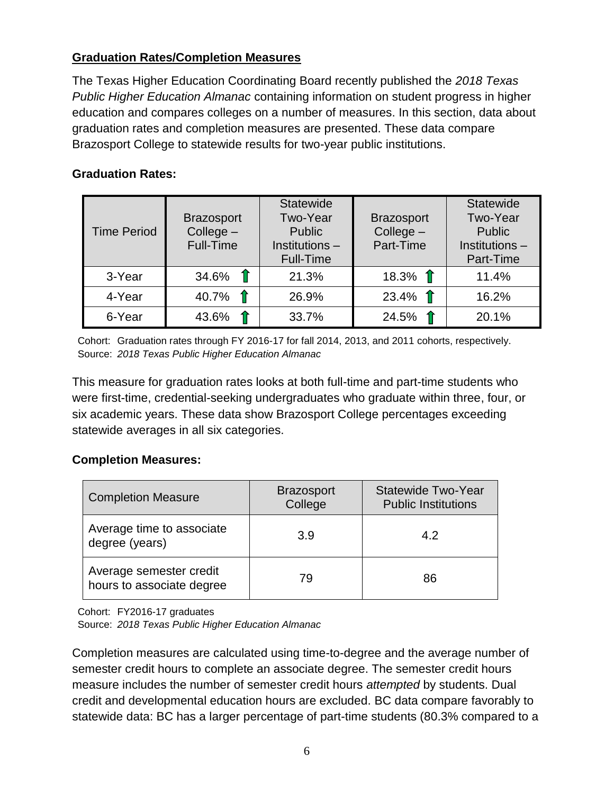### **Graduation Rates/Completion Measures**

The Texas Higher Education Coordinating Board recently published the *2018 Texas Public Higher Education Almanac* containing information on student progress in higher education and compares colleges on a number of measures. In this section, data about graduation rates and completion measures are presented. These data compare Brazosport College to statewide results for two-year public institutions.

#### **Graduation Rates:**

| <b>Time Period</b> | <b>Brazosport</b><br>$Collect -$<br>Full-Time | <b>Statewide</b><br>Two-Year<br><b>Public</b><br>Institutions -<br>Full-Time | <b>Brazosport</b><br>$Collect -$<br>Part-Time | <b>Statewide</b><br>Two-Year<br>Public<br>Institutions-<br>Part-Time |
|--------------------|-----------------------------------------------|------------------------------------------------------------------------------|-----------------------------------------------|----------------------------------------------------------------------|
| 3-Year             | 34.6% $\hat{\mathbb{T}}$                      | 21.3%                                                                        | 18.3% $\hat{\mathbb{T}}$                      | 11.4%                                                                |
| 4-Year             | 40.7% $\hat{\mathbb{T}}$                      | 26.9%                                                                        | 23.4% $\hat{\mathbb{T}}$                      | 16.2%                                                                |
| 6-Year             | 43.6%                                         | 33.7%                                                                        | 24.5%                                         | 20.1%                                                                |

 Cohort: Graduation rates through FY 2016-17 for fall 2014, 2013, and 2011 cohorts, respectively. Source: *2018 Texas Public Higher Education Almanac*

This measure for graduation rates looks at both full-time and part-time students who were first-time, credential-seeking undergraduates who graduate within three, four, or six academic years. These data show Brazosport College percentages exceeding statewide averages in all six categories.

#### **Completion Measures:**

| <b>Completion Measure</b>                            | <b>Brazosport</b><br>College | <b>Statewide Two-Year</b><br><b>Public Institutions</b> |  |
|------------------------------------------------------|------------------------------|---------------------------------------------------------|--|
| Average time to associate<br>degree (years)          | 3.9                          | 4.2                                                     |  |
| Average semester credit<br>hours to associate degree | 79                           | 86                                                      |  |

Cohort: FY2016-17 graduates

Source: *2018 Texas Public Higher Education Almanac*

Completion measures are calculated using time-to-degree and the average number of semester credit hours to complete an associate degree. The semester credit hours measure includes the number of semester credit hours *attempted* by students. Dual credit and developmental education hours are excluded. BC data compare favorably to statewide data: BC has a larger percentage of part-time students (80.3% compared to a